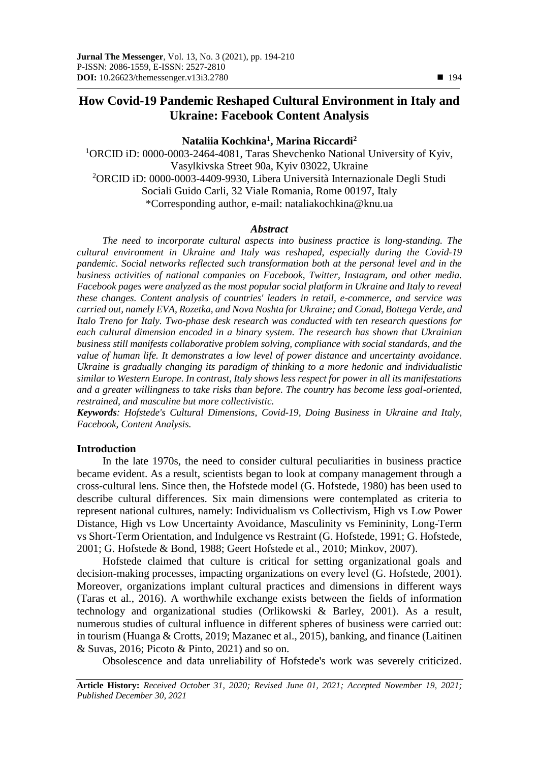# **How Covid-19 Pandemic Reshaped Cultural Environment in Italy and Ukraine: Facebook Content Analysis**

# **Nataliia Kochkina<sup>1</sup> , Marina Riccardi<sup>2</sup>**

<sup>1</sup>ORCID iD: 0000-0003-2464-4081, Taras Shevchenko National University of Kyiv, Vasylkivska Street 90a, Kyiv 03022, Ukraine <sup>2</sup>ORCID iD: 0000-0003-4409-9930, Libera Università Internazionale Degli Studi Sociali Guido Carli, 32 Viale Romania, Rome 00197, Italy \*Corresponding author, e-mail: nataliakochkina@knu.ua

# *Abstract*

*The need to incorporate cultural aspects into business practice is long-standing. The cultural environment in Ukraine and Italy was reshaped, especially during the Covid-19 pandemic. Social networks reflected such transformation both at the personal level and in the business activities of national companies on Facebook, Twitter, Instagram, and other media.*  Facebook pages were analyzed as the most popular social platform in Ukraine and Italy to reveal *these changes. Content analysis of countries' leaders in retail, e-commerce, and service was carried out, namely EVA, Rozetka, and Nova Noshta for Ukraine; and Conad, Bottega Verde, and Italo Treno for Italy. Two-phase desk research was conducted with ten research questions for each cultural dimension encoded in a binary system. The research has shown that Ukrainian business still manifests collaborative problem solving, compliance with social standards, and the value of human life. It demonstrates a low level of power distance and uncertainty avoidance. Ukraine is gradually changing its paradigm of thinking to a more hedonic and individualistic similar to Western Europe. In contrast, Italy shows less respect for power in all its manifestations and a greater willingness to take risks than before. The country has become less goal-oriented, restrained, and masculine but more collectivistic.*

*Keywords: Hofstede's Cultural Dimensions, Covid-19, Doing Business in Ukraine and Italy, Facebook, Content Analysis.*

#### **Introduction**

In the late 1970s, the need to consider cultural peculiarities in business practice became evident. As a result, scientists began to look at company management through a cross-cultural lens. Since then, the Hofstede model (G. Hofstede, 1980) has been used to describe cultural differences. Six main dimensions were contemplated as criteria to represent national cultures, namely: Individualism vs Collectivism, High vs Low Power Distance, High vs Low Uncertainty Avoidance, Masculinity vs Femininity, Long-Term vs Short-Term Orientation, and Indulgence vs Restraint (G. Hofstede, 1991; G. Hofstede, 2001; G. Hofstede & Bond, 1988; Geert Hofstede et al., 2010; Minkov, 2007).

Hofstede claimed that culture is critical for setting organizational goals and decision-making processes, impacting organizations on every level (G. Hofstede, 2001). Moreover, organizations implant cultural practices and dimensions in different ways (Taras et al., 2016). A worthwhile exchange exists between the fields of information technology and organizational studies (Orlikowski & Barley, 2001). As a result, numerous studies of cultural influence in different spheres of business were carried out: in tourism (Huanga & Crotts, 2019; Mazanec et al., 2015), banking, and finance (Laitinen & Suvas, 2016; Picoto & Pinto, 2021) and so on.

Obsolescence and data unreliability of Hofstede's work was severely criticized.

**Article History:** *Received October 31, 2020; Revised June 01, 2021; Accepted November 19, 2021; Published December 30, 2021*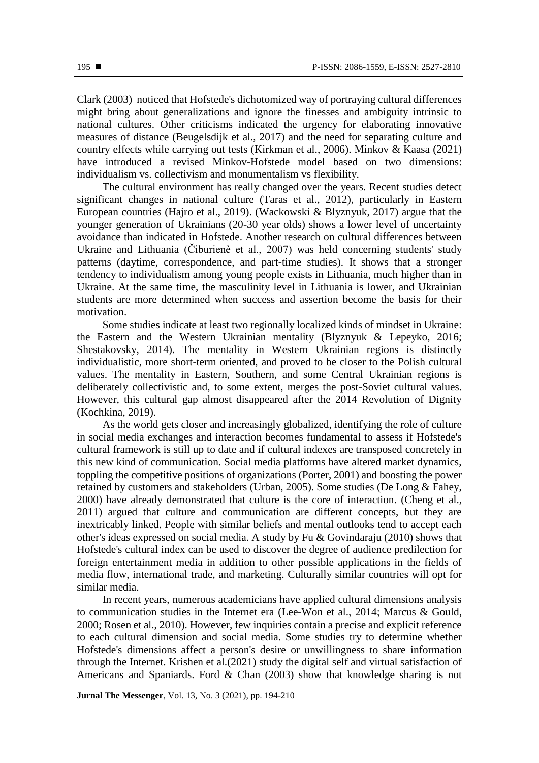Clark (2003) noticed that Hofstede's dichotomized way of portraying cultural differences might bring about generalizations and ignore the finesses and ambiguity intrinsic to national cultures. Other criticisms indicated the urgency for elaborating innovative measures of distance (Beugelsdijk et al., 2017) and the need for separating culture and country effects while carrying out tests (Kirkman et al., 2006). Minkov & Kaasa (2021) have introduced a revised Minkov-Hofstede model based on two dimensions: individualism vs. collectivism and monumentalism vs flexibility.

The cultural environment has really changed over the years. Recent studies detect significant changes in national culture (Taras et al., 2012), particularly in Eastern European countries (Hajro et al., 2019). (Wackowski & Blyznyuk, 2017) argue that the younger generation of Ukrainians (20-30 year olds) shows a lower level of uncertainty avoidance than indicated in Hofstede. Another research on cultural differences between Ukraine and Lithuania (Čiburienè et al., 2007) was held concerning students' study patterns (daytime, correspondence, and part-time studies). It shows that a stronger tendency to individualism among young people exists in Lithuania, much higher than in Ukraine. At the same time, the masculinity level in Lithuania is lower, and Ukrainian students are more determined when success and assertion become the basis for their motivation.

Some studies indicate at least two regionally localized kinds of mindset in Ukraine: the Eastern and the Western Ukrainian mentality (Blyznyuk & Lepeyko, 2016; Shestakovsky, 2014). The mentality in Western Ukrainian regions is distinctly individualistic, more short-term oriented, and proved to be closer to the Polish cultural values. The mentality in Eastern, Southern, and some Central Ukrainian regions is deliberately collectivistic and, to some extent, merges the post-Soviet cultural values. However, this cultural gap almost disappeared after the 2014 Revolution of Dignity (Kochkina, 2019).

As the world gets closer and increasingly globalized, identifying the role of culture in social media exchanges and interaction becomes fundamental to assess if Hofstede's cultural framework is still up to date and if cultural indexes are transposed concretely in this new kind of communication. Social media platforms have altered market dynamics, toppling the competitive positions of organizations (Porter, 2001) and boosting the power retained by customers and stakeholders (Urban, 2005). Some studies (De Long & Fahey, 2000) have already demonstrated that culture is the core of interaction. (Cheng et al., 2011) argued that culture and communication are different concepts, but they are inextricably linked. People with similar beliefs and mental outlooks tend to accept each other's ideas expressed on social media. A study by Fu & Govindaraju (2010) shows that Hofstede's cultural index can be used to discover the degree of audience predilection for foreign entertainment media in addition to other possible applications in the fields of media flow, international trade, and marketing. Culturally similar countries will opt for similar media.

In recent years, numerous academicians have applied cultural dimensions analysis to communication studies in the Internet era (Lee-Won et al., 2014; Marcus & Gould, 2000; Rosen et al., 2010). However, few inquiries contain a precise and explicit reference to each cultural dimension and social media. Some studies try to determine whether Hofstede's dimensions affect a person's desire or unwillingness to share information through the Internet. Krishen et al.(2021) study the digital self and virtual satisfaction of Americans and Spaniards. Ford & Chan (2003) show that knowledge sharing is not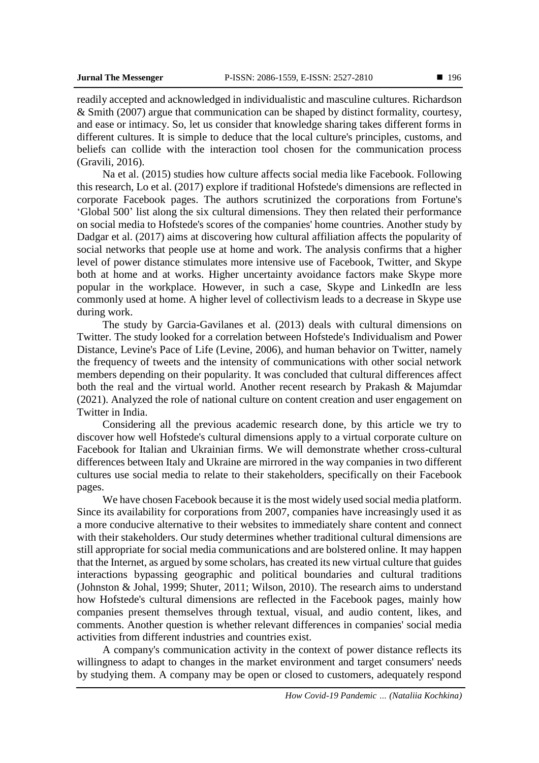readily accepted and acknowledged in individualistic and masculine cultures. Richardson & Smith (2007) argue that communication can be shaped by distinct formality, courtesy, and ease or intimacy. So, let us consider that knowledge sharing takes different forms in different cultures. It is simple to deduce that the local culture's principles, customs, and beliefs can collide with the interaction tool chosen for the communication process (Gravili, 2016).

Na et al. (2015) studies how culture affects social media like Facebook. Following this research, Lo et al. (2017) explore if traditional Hofstede's dimensions are reflected in corporate Facebook pages. The authors scrutinized the corporations from Fortune's 'Global 500' list along the six cultural dimensions. They then related their performance on social media to Hofstede's scores of the companies' home countries. Another study by Dadgar et al. (2017) aims at discovering how cultural affiliation affects the popularity of social networks that people use at home and work. The analysis confirms that a higher level of power distance stimulates more intensive use of Facebook, Twitter, and Skype both at home and at works. Higher uncertainty avoidance factors make Skype more popular in the workplace. However, in such a case, Skype and LinkedIn are less commonly used at home. A higher level of collectivism leads to a decrease in Skype use during work.

The study by Garcia-Gavilanes et al. (2013) deals with cultural dimensions on Twitter. The study looked for a correlation between Hofstede's Individualism and Power Distance, Levine's Pace of Life (Levine, 2006), and human behavior on Twitter, namely the frequency of tweets and the intensity of communications with other social network members depending on their popularity. It was concluded that cultural differences affect both the real and the virtual world. Another recent research by Prakash & Majumdar (2021). Analyzed the role of national culture on content creation and user engagement on Twitter in India.

Considering all the previous academic research done, by this article we try to discover how well Hofstede's cultural dimensions apply to a virtual corporate culture on Facebook for Italian and Ukrainian firms. We will demonstrate whether cross-cultural differences between Italy and Ukraine are mirrored in the way companies in two different cultures use social media to relate to their stakeholders, specifically on their Facebook pages.

We have chosen Facebook because it is the most widely used social media platform. Since its availability for corporations from 2007, companies have increasingly used it as a more conducive alternative to their websites to immediately share content and connect with their stakeholders. Our study determines whether traditional cultural dimensions are still appropriate for social media communications and are bolstered online. It may happen that the Internet, as argued by some scholars, has created its new virtual culture that guides interactions bypassing geographic and political boundaries and cultural traditions (Johnston & Johal, 1999; Shuter, 2011; Wilson, 2010). The research aims to understand how Hofstede's cultural dimensions are reflected in the Facebook pages, mainly how companies present themselves through textual, visual, and audio content, likes, and comments. Another question is whether relevant differences in companies' social media activities from different industries and countries exist.

A company's communication activity in the context of power distance reflects its willingness to adapt to changes in the market environment and target consumers' needs by studying them. A company may be open or closed to customers, adequately respond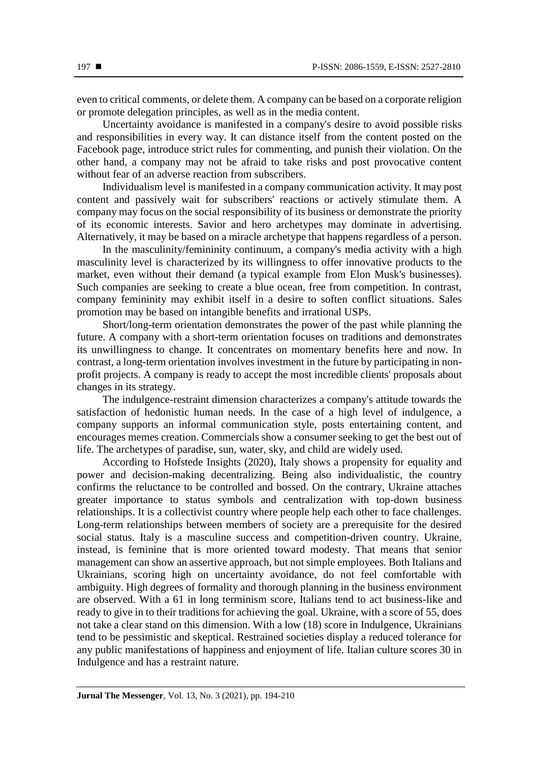even to critical comments, or delete them. A company can be based on a corporate religion or promote delegation principles, as well as in the media content.

Uncertainty avoidance is manifested in a company's desire to avoid possible risks and responsibilities in every way. It can distance itself from the content posted on the Facebook page, introduce strict rules for commenting, and punish their violation. On the other hand, a company may not be afraid to take risks and post provocative content without fear of an adverse reaction from subscribers.

Individualism level is manifested in a company communication activity. It may post content and passively wait for subscribers' reactions or actively stimulate them. A company may focus on the social responsibility of its business or demonstrate the priority of its economic interests. Savior and hero archetypes may dominate in advertising. Alternatively, it may be based on a miracle archetype that happens regardless of a person.

In the masculinity/femininity continuum, a company's media activity with a high masculinity level is characterized by its willingness to offer innovative products to the market, even without their demand (a typical example from Elon Musk's businesses). Such companies are seeking to create a blue ocean, free from competition. In contrast, company femininity may exhibit itself in a desire to soften conflict situations. Sales promotion may be based on intangible benefits and irrational USPs.

Short/long-term orientation demonstrates the power of the past while planning the future. A company with a short-term orientation focuses on traditions and demonstrates its unwillingness to change. It concentrates on momentary benefits here and now. In contrast, a long-term orientation involves investment in the future by participating in nonprofit projects. A company is ready to accept the most incredible clients' proposals about changes in its strategy.

The indulgence-restraint dimension characterizes a company's attitude towards the satisfaction of hedonistic human needs. In the case of a high level of indulgence, a company supports an informal communication style, posts entertaining content, and encourages memes creation. Commercials show a consumer seeking to get the best out of life. The archetypes of paradise, sun, water, sky, and child are widely used.

According to Hofstede Insights (2020), Italy shows a propensity for equality and power and decision-making decentralizing. Being also individualistic, the country confirms the reluctance to be controlled and bossed. On the contrary, Ukraine attaches greater importance to status symbols and centralization with top-down business relationships. It is a collectivist country where people help each other to face challenges. Long-term relationships between members of society are a prerequisite for the desired social status. Italy is a masculine success and competition-driven country. Ukraine, instead, is feminine that is more oriented toward modesty. That means that senior management can show an assertive approach, but not simple employees. Both Italians and Ukrainians, scoring high on uncertainty avoidance, do not feel comfortable with ambiguity. High degrees of formality and thorough planning in the business environment are observed. With a 61 in long terminism score, Italians tend to act business-like and ready to give in to their traditions for achieving the goal. Ukraine, with a score of 55, does not take a clear stand on this dimension. With a low (18) score in Indulgence, Ukrainians tend to be pessimistic and skeptical. Restrained societies display a reduced tolerance for any public manifestations of happiness and enjoyment of life. Italian culture scores 30 in Indulgence and has a restraint nature.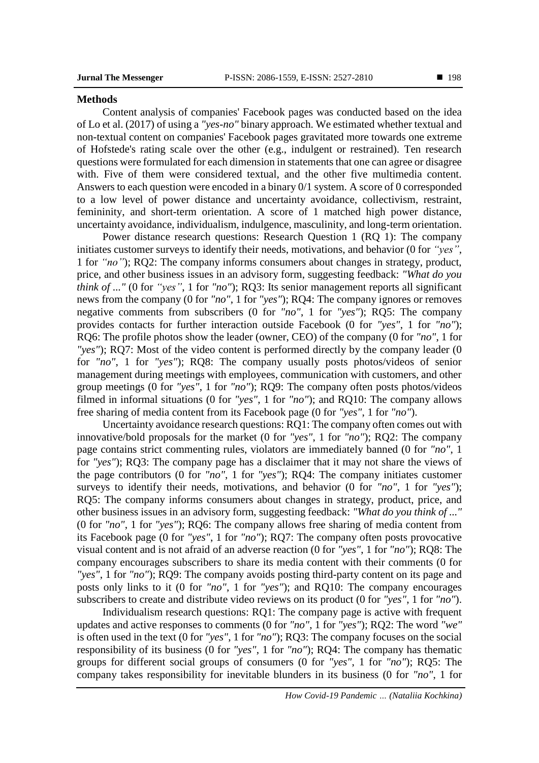#### **Methods**

Content analysis of companies' Facebook pages was conducted based on the idea of Lo et al. (2017) of using a *"yes-no"* binary approach. We estimated whether textual and non-textual content on companies' Facebook pages gravitated more towards one extreme of Hofstede's rating scale over the other (e.g., indulgent or restrained). Ten research questions were formulated for each dimension in statements that one can agree or disagree with. Five of them were considered textual, and the other five multimedia content. Answers to each question were encoded in a binary 0/1 system. A score of 0 corresponded to a low level of power distance and uncertainty avoidance, collectivism, restraint, femininity, and short-term orientation. A score of 1 matched high power distance, uncertainty avoidance, individualism, indulgence, masculinity, and long-term orientation.

Power distance research questions: Research Question 1 (RQ 1): The company initiates customer surveys to identify their needs, motivations, and behavior (0 for *"yes"*, 1 for *"no"*); RQ2: The company informs consumers about changes in strategy, product, price, and other business issues in an advisory form, suggesting feedback: *"What do you think of ..."* (0 for *"yes"*, 1 for *"no"*); RQ3: Its senior management reports all significant news from the company (0 for *"no"*, 1 for *"yes"*); RQ4: The company ignores or removes negative comments from subscribers (0 for *"no"*, 1 for *"yes"*); RQ5: The company provides contacts for further interaction outside Facebook (0 for *"yes"*, 1 for *"no"*); RQ6: The profile photos show the leader (owner, CEO) of the company (0 for *"no"*, 1 for *"yes"*); RQ7: Most of the video content is performed directly by the company leader (0 for *"no"*, 1 for *"yes"*); RQ8: The company usually posts photos/videos of senior management during meetings with employees, communication with customers, and other group meetings (0 for *"yes"*, 1 for *"no"*); RQ9: The company often posts photos/videos filmed in informal situations (0 for *"yes"*, 1 for *"no"*); and RQ10: The company allows free sharing of media content from its Facebook page (0 for *"yes"*, 1 for *"no"*).

Uncertainty avoidance research questions: RQ1: The company often comes out with innovative/bold proposals for the market (0 for *"yes"*, 1 for *"no"*); RQ2: The company page contains strict commenting rules, violators are immediately banned (0 for *"no"*, 1 for *"yes"*); RQ3: The company page has a disclaimer that it may not share the views of the page contributors (0 for *"no"*, 1 for *"yes"*); RQ4: The company initiates customer surveys to identify their needs, motivations, and behavior (0 for *"no"*, 1 for *"yes"*); RQ5: The company informs consumers about changes in strategy, product, price, and other business issues in an advisory form, suggesting feedback: *"What do you think of ..."* (0 for *"no"*, 1 for *"yes"*); RQ6: The company allows free sharing of media content from its Facebook page (0 for *"yes"*, 1 for *"no"*); RQ7: The company often posts provocative visual content and is not afraid of an adverse reaction (0 for *"yes"*, 1 for *"no"*); RQ8: The company encourages subscribers to share its media content with their comments (0 for *"yes"*, 1 for *"no"*); RQ9: The company avoids posting third-party content on its page and posts only links to it (0 for *"no"*, 1 for *"yes"*); and RQ10: The company encourages subscribers to create and distribute video reviews on its product (0 for *"yes"*, 1 for *"no"*).

Individualism research questions: RQ1: The company page is active with frequent updates and active responses to comments (0 for *"no"*, 1 for *"yes"*); RQ2: The word *"we"* is often used in the text (0 for *"yes"*, 1 for *"no"*); RQ3: The company focuses on the social responsibility of its business (0 for *"yes"*, 1 for *"no"*); RQ4: The company has thematic groups for different social groups of consumers (0 for *"yes"*, 1 for *"no"*); RQ5: The company takes responsibility for inevitable blunders in its business (0 for *"no"*, 1 for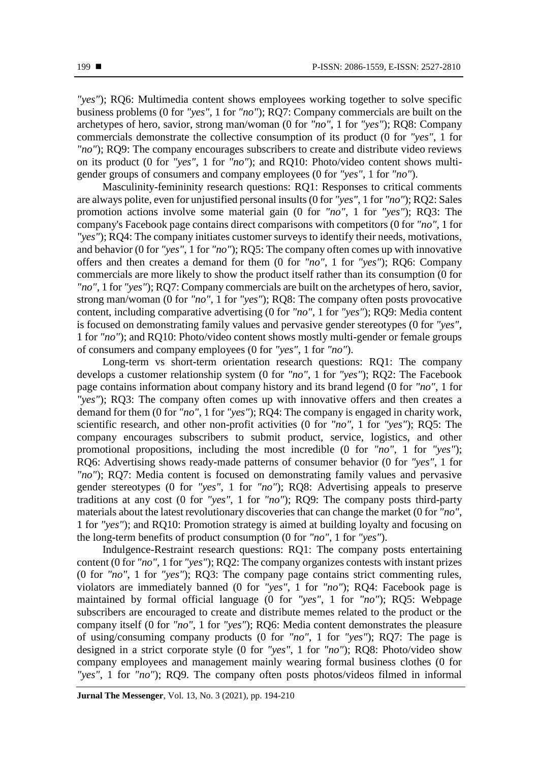*"yes"*); RQ6: Multimedia content shows employees working together to solve specific business problems (0 for *"yes"*, 1 for *"no"*); RQ7: Company commercials are built on the archetypes of hero, savior, strong man/woman (0 for *"no"*, 1 for *"yes"*); RQ8: Company commercials demonstrate the collective consumption of its product (0 for *"yes"*, 1 for *"no"*); RQ9: The company encourages subscribers to create and distribute video reviews on its product (0 for *"yes"*, 1 for *"no"*); and RQ10: Photo/video content shows multigender groups of consumers and company employees (0 for *"yes"*, 1 for *"no"*).

Masculinity-femininity research questions: RQ1: Responses to critical comments are always polite, even for unjustified personal insults (0 for *"yes"*, 1 for *"no"*); RQ2: Sales promotion actions involve some material gain (0 for *"no"*, 1 for *"yes"*); RQ3: The company's Facebook page contains direct comparisons with competitors (0 for *"no"*, 1 for *"yes"*); RQ4: The company initiates customer surveys to identify their needs, motivations, and behavior (0 for *"yes"*, 1 for *"no"*); RQ5: The company often comes up with innovative offers and then creates a demand for them (0 for *"no"*, 1 for *"yes"*); RQ6: Company commercials are more likely to show the product itself rather than its consumption (0 for *"no"*, 1 for *"yes"*); RQ7: Company commercials are built on the archetypes of hero, savior, strong man/woman (0 for *"no"*, 1 for *"yes"*); RQ8: The company often posts provocative content, including comparative advertising (0 for *"no"*, 1 for *"yes"*); RQ9: Media content is focused on demonstrating family values and pervasive gender stereotypes (0 for *"yes"*, 1 for *"no"*); and RQ10: Photo/video content shows mostly multi-gender or female groups of consumers and company employees (0 for *"yes"*, 1 for *"no"*).

Long-term vs short-term orientation research questions: RQ1: The company develops a customer relationship system (0 for *"no"*, 1 for *"yes"*); RQ2: The Facebook page contains information about company history and its brand legend (0 for *"no"*, 1 for *"yes"*); RQ3: The company often comes up with innovative offers and then creates a demand for them (0 for *"no"*, 1 for *"yes"*); RQ4: The company is engaged in charity work, scientific research, and other non-profit activities (0 for *"no"*, 1 for *"yes"*); RQ5: The company encourages subscribers to submit product, service, logistics, and other promotional propositions, including the most incredible (0 for *"no"*, 1 for *"yes"*); RQ6: Advertising shows ready-made patterns of consumer behavior (0 for *"yes"*, 1 for *"no"*); RQ7: Media content is focused on demonstrating family values and pervasive gender stereotypes (0 for *"yes"*, 1 for *"no"*); RQ8: Advertising appeals to preserve traditions at any cost (0 for *"yes"*, 1 for *"no"*); RQ9: The company posts third-party materials about the latest revolutionary discoveries that can change the market (0 for *"no"*, 1 for *"yes"*); and RQ10: Promotion strategy is aimed at building loyalty and focusing on the long-term benefits of product consumption (0 for *"no"*, 1 for *"yes"*).

Indulgence-Restraint research questions: RQ1: The company posts entertaining content (0 for *"no"*, 1 for *"yes"*); RQ2: The company organizes contests with instant prizes (0 for *"no"*, 1 for *"yes"*); RQ3: The company page contains strict commenting rules, violators are immediately banned (0 for *"yes"*, 1 for *"no"*); RQ4: Facebook page is maintained by formal official language (0 for *"yes"*, 1 for *"no"*); RQ5: Webpage subscribers are encouraged to create and distribute memes related to the product or the company itself (0 for *"no"*, 1 for *"yes"*); RQ6: Media content demonstrates the pleasure of using/consuming company products (0 for *"no"*, 1 for *"yes"*); RQ7: The page is designed in a strict corporate style (0 for *"yes"*, 1 for *"no"*); RQ8: Photo/video show company employees and management mainly wearing formal business clothes (0 for *"yes"*, 1 for *"no"*); RQ9. The company often posts photos/videos filmed in informal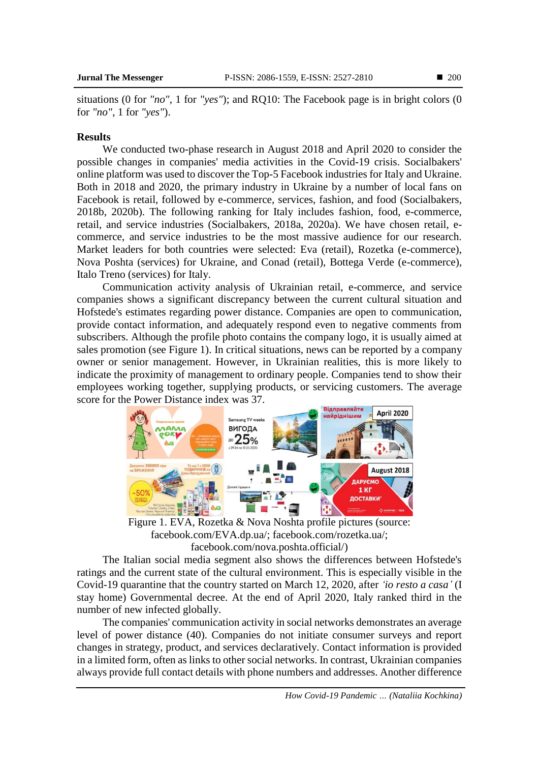situations (0 for *"no"*, 1 for *"yes"*); and RQ10: The Facebook page is in bright colors (0 for *"no"*, 1 for *"yes"*).

# **Results**

We conducted two-phase research in August 2018 and April 2020 to consider the possible changes in companies' media activities in the Covid-19 crisis. Socialbakers' online platform was used to discover the Top-5 Facebook industries for Italy and Ukraine. Both in 2018 and 2020, the primary industry in Ukraine by a number of local fans on Facebook is retail, followed by e-commerce, services, fashion, and food (Socialbakers, 2018b, 2020b). The following ranking for Italy includes fashion, food, e-commerce, retail, and service industries (Socialbakers, 2018a, 2020a). We have chosen retail, ecommerce, and service industries to be the most massive audience for our research. Market leaders for both countries were selected: Eva (retail), Rozetka (e-commerce), Nova Poshta (services) for Ukraine, and Conad (retail), Bottega Verde (e-commerce), Italo Treno (services) for Italy.

Communication activity analysis of Ukrainian retail, e-commerce, and service companies shows a significant discrepancy between the current cultural situation and Hofstede's estimates regarding power distance. Companies are open to communication, provide contact information, and adequately respond even to negative comments from subscribers. Although the profile photo contains the company logo, it is usually aimed at sales promotion (see Figure 1). In critical situations, news can be reported by a company owner or senior management. However, in Ukrainian realities, this is more likely to indicate the proximity of management to ordinary people. Companies tend to show their employees working together, supplying products, or servicing customers. The average score for the Power Distance index was 37.



Figure 1. EVA, Rozetka & Nova Noshta profile pictures (source: [facebook.com/EVA.dp.ua/;](https://www.facebook.com/EVA.dp.ua/) [facebook.com/rozetka.ua/;](https://www.facebook.com/rozetka.ua/) [facebook.com/nova.poshta.official/\)](https://www.facebook.com/nova.poshta.official/)

The Italian social media segment also shows the differences between Hofstede's ratings and the current state of the cultural environment. This is especially visible in the Covid-19 quarantine that the country started on March 12, 2020, after *'io resto a casa'* (I stay home) Governmental decree. At the end of April 2020, Italy ranked third in the number of new infected globally.

The companies' communication activity in social networks demonstrates an average level of power distance (40). Companies do not initiate consumer surveys and report changes in strategy, product, and services declaratively. Contact information is provided in a limited form, often as links to other social networks. In contrast, Ukrainian companies always provide full contact details with phone numbers and addresses. Another difference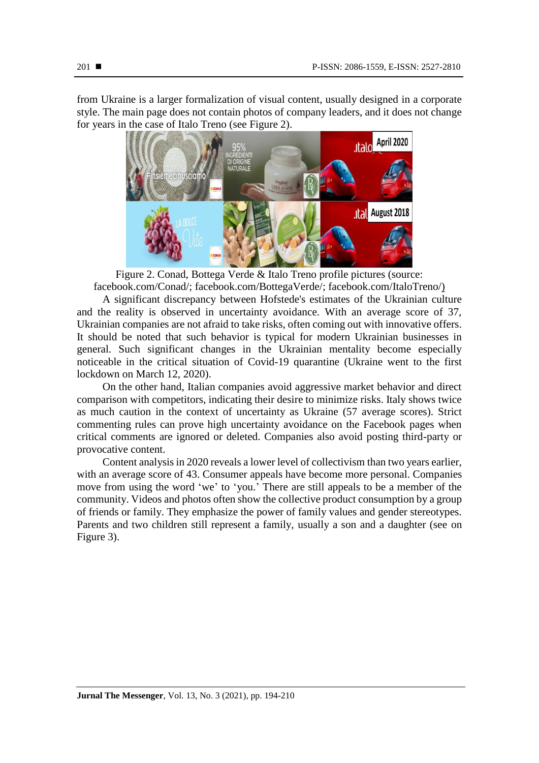from Ukraine is a larger formalization of visual content, usually designed in a corporate style. The main page does not contain photos of company leaders, and it does not change for years in the case of Italo Treno (see Figure 2).



Figure 2. Conad, Bottega Verde & Italo Treno profile pictures (source: [facebook.com/Conad/;](https://www.facebook.com/Conad/) [facebook.com/BottegaVerde/;](https://www.facebook.com/BottegaVerde/) [facebook.com/ItaloTreno/\)](https://www.facebook.com/ItaloTreno/)

A significant discrepancy between Hofstede's estimates of the Ukrainian culture and the reality is observed in uncertainty avoidance. With an average score of 37, Ukrainian companies are not afraid to take risks, often coming out with innovative offers. It should be noted that such behavior is typical for modern Ukrainian businesses in general. Such significant changes in the Ukrainian mentality become especially noticeable in the critical situation of Covid-19 quarantine (Ukraine went to the first lockdown on March 12, 2020).

On the other hand, Italian companies avoid aggressive market behavior and direct comparison with competitors, indicating their desire to minimize risks. Italy shows twice as much caution in the context of uncertainty as Ukraine (57 average scores). Strict commenting rules can prove high uncertainty avoidance on the Facebook pages when critical comments are ignored or deleted. Companies also avoid posting third-party or provocative content.

Content analysis in 2020 reveals a lower level of collectivism than two years earlier, with an average score of 43. Consumer appeals have become more personal. Companies move from using the word 'we' to 'you.' There are still appeals to be a member of the community. Videos and photos often show the collective product consumption by a group of friends or family. They emphasize the power of family values and gender stereotypes. Parents and two children still represent a family, usually a son and a daughter (see on Figure 3).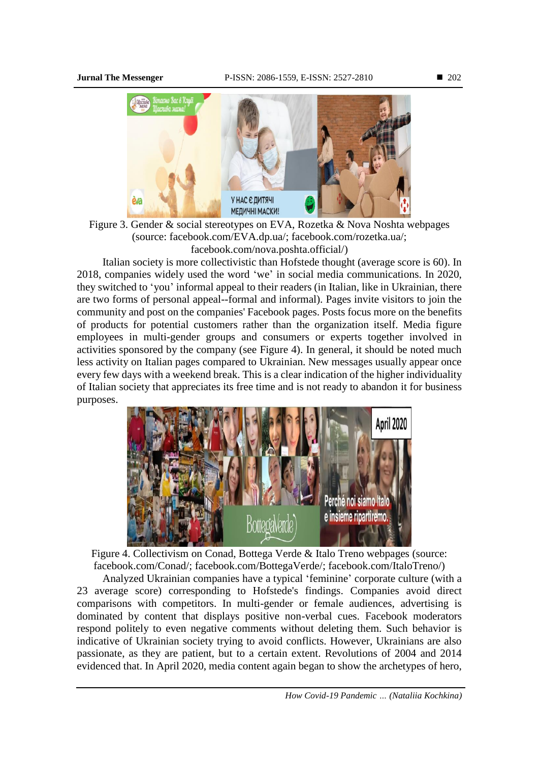

Figure 3. Gender & social stereotypes on EVA, Rozetka & Nova Noshta webpages (source: [facebook.com/EVA.dp.ua/;](https://www.facebook.com/EVA.dp.ua/) [facebook.com/rozetka.ua/;](https://www.facebook.com/rozetka.ua/) [facebook.com/nova.poshta.official/\)](https://www.facebook.com/nova.poshta.official/)

Italian society is more collectivistic than Hofstede thought (average score is 60). In 2018, companies widely used the word 'we' in social media communications. In 2020, they switched to 'you' informal appeal to their readers (in Italian, like in Ukrainian, there are two forms of personal appeal--formal and informal). Pages invite visitors to join the community and post on the companies' Facebook pages. Posts focus more on the benefits of products for potential customers rather than the organization itself. Media figure employees in multi-gender groups and consumers or experts together involved in activities sponsored by the company (see Figure 4). In general, it should be noted much less activity on Italian pages compared to Ukrainian. New messages usually appear once every few days with a weekend break. This is a clear indication of the higher individuality of Italian society that appreciates its free time and is not ready to abandon it for business purposes.



Figure 4. Collectivism on Conad, Bottega Verde & Italo Treno webpages (source: [facebook.com/Conad/;](https://www.facebook.com/Conad/) [facebook.com/BottegaVerde/;](https://www.facebook.com/BottegaVerde/) [facebook.com/ItaloTreno/\)](https://www.facebook.com/ItaloTreno/)

Analyzed Ukrainian companies have a typical 'feminine' corporate culture (with a 23 average score) corresponding to Hofstede's findings. Companies avoid direct comparisons with competitors. In multi-gender or female audiences, advertising is dominated by content that displays positive non-verbal cues. Facebook moderators respond politely to even negative comments without deleting them. Such behavior is indicative of Ukrainian society trying to avoid conflicts. However, Ukrainians are also passionate, as they are patient, but to a certain extent. Revolutions of 2004 and 2014 evidenced that. In April 2020, media content again began to show the archetypes of hero,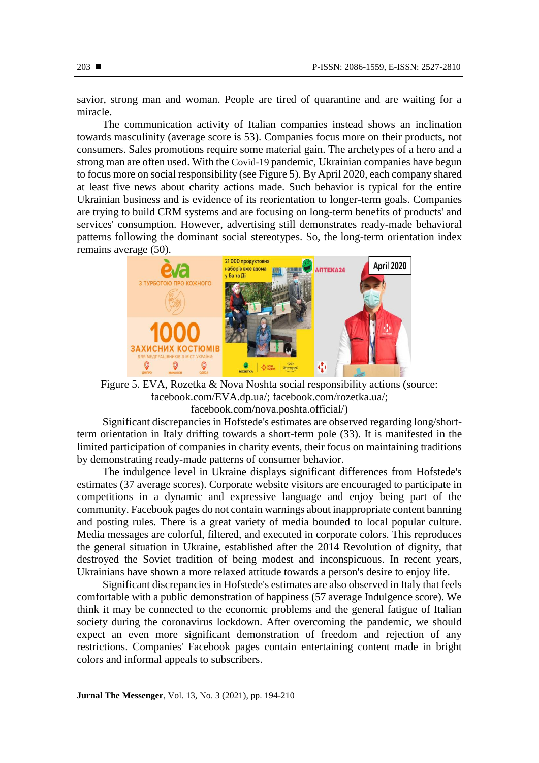savior, strong man and woman. People are tired of quarantine and are waiting for a miracle.

The communication activity of Italian companies instead shows an inclination towards masculinity (average score is 53). Companies focus more on their products, not consumers. Sales promotions require some material gain. The archetypes of a hero and a strong man are often used. With the Covid-19 pandemic, Ukrainian companies have begun to focus more on social responsibility (see Figure 5). By April 2020, each company shared at least five news about charity actions made. Such behavior is typical for the entire Ukrainian business and is evidence of its reorientation to longer-term goals. Companies are trying to build CRM systems and are focusing on long-term benefits of products' and services' consumption. However, advertising still demonstrates ready-made behavioral patterns following the dominant social stereotypes. So, the long-term orientation index remains average (50).



Figure 5. EVA, Rozetka & Nova Noshta social responsibility actions (source: [facebook.com/EVA.dp.ua/;](https://www.facebook.com/EVA.dp.ua/) [facebook.com/rozetka.ua/;](https://www.facebook.com/rozetka.ua/) [facebook.com/nova.poshta.official/\)](https://www.facebook.com/nova.poshta.official/)

Significant discrepancies in Hofstede's estimates are observed regarding long/shortterm orientation in Italy drifting towards a short-term pole (33). It is manifested in the limited participation of companies in charity events, their focus on maintaining traditions by demonstrating ready-made patterns of consumer behavior.

The indulgence level in Ukraine displays significant differences from Hofstede's estimates (37 average scores). Corporate website visitors are encouraged to participate in competitions in a dynamic and expressive language and enjoy being part of the community. Facebook pages do not contain warnings about inappropriate content banning and posting rules. There is a great variety of media bounded to local popular culture. Media messages are colorful, filtered, and executed in corporate colors. This reproduces the general situation in Ukraine, established after the 2014 Revolution of dignity, that destroyed the Soviet tradition of being modest and inconspicuous. In recent years, Ukrainians have shown a more relaxed attitude towards a person's desire to enjoy life.

Significant discrepancies in Hofstede's estimates are also observed in Italy that feels comfortable with a public demonstration of happiness (57 average Indulgence score). We think it may be connected to the economic problems and the general fatigue of Italian society during the coronavirus lockdown. After overcoming the pandemic, we should expect an even more significant demonstration of freedom and rejection of any restrictions. Companies' Facebook pages contain entertaining content made in bright colors and informal appeals to subscribers.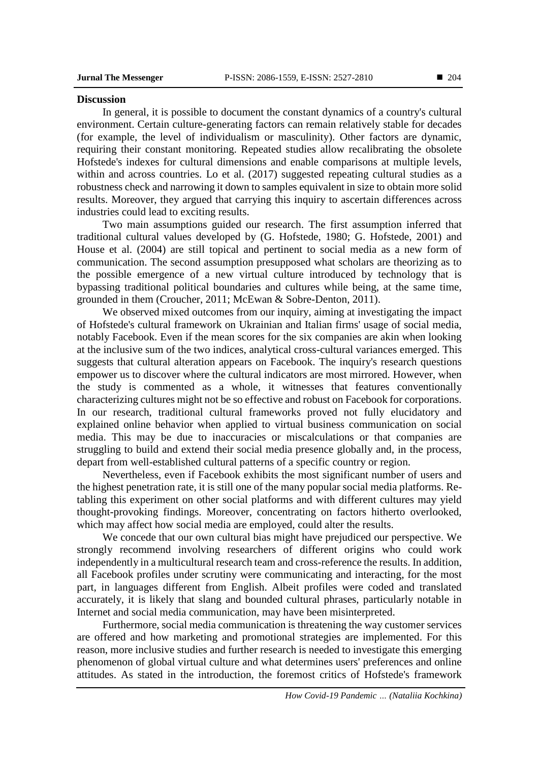#### **Discussion**

In general, it is possible to document the constant dynamics of a country's cultural environment. Certain culture-generating factors can remain relatively stable for decades (for example, the level of individualism or masculinity). Other factors are dynamic, requiring their constant monitoring. Repeated studies allow recalibrating the obsolete Hofstede's indexes for cultural dimensions and enable comparisons at multiple levels, within and across countries. Lo et al. (2017) suggested repeating cultural studies as a robustness check and narrowing it down to samples equivalent in size to obtain more solid results. Moreover, they argued that carrying this inquiry to ascertain differences across industries could lead to exciting results.

Two main assumptions guided our research. The first assumption inferred that traditional cultural values developed by (G. Hofstede, 1980; G. Hofstede, 2001) and House et al. (2004) are still topical and pertinent to social media as a new form of communication. The second assumption presupposed what scholars are theorizing as to the possible emergence of a new virtual culture introduced by technology that is bypassing traditional political boundaries and cultures while being, at the same time, grounded in them (Croucher, 2011; McEwan & Sobre-Denton, 2011).

We observed mixed outcomes from our inquiry, aiming at investigating the impact of Hofstede's cultural framework on Ukrainian and Italian firms' usage of social media, notably Facebook. Even if the mean scores for the six companies are akin when looking at the inclusive sum of the two indices, analytical cross-cultural variances emerged. This suggests that cultural alteration appears on Facebook. The inquiry's research questions empower us to discover where the cultural indicators are most mirrored. However, when the study is commented as a whole, it witnesses that features conventionally characterizing cultures might not be so effective and robust on Facebook for corporations. In our research, traditional cultural frameworks proved not fully elucidatory and explained online behavior when applied to virtual business communication on social media. This may be due to inaccuracies or miscalculations or that companies are struggling to build and extend their social media presence globally and, in the process, depart from well-established cultural patterns of a specific country or region.

Nevertheless, even if Facebook exhibits the most significant number of users and the highest penetration rate, it is still one of the many popular social media platforms. Retabling this experiment on other social platforms and with different cultures may yield thought-provoking findings. Moreover, concentrating on factors hitherto overlooked, which may affect how social media are employed, could alter the results.

We concede that our own cultural bias might have prejudiced our perspective. We strongly recommend involving researchers of different origins who could work independently in a multicultural research team and cross-reference the results. In addition, all Facebook profiles under scrutiny were communicating and interacting, for the most part, in languages different from English. Albeit profiles were coded and translated accurately, it is likely that slang and bounded cultural phrases, particularly notable in Internet and social media communication, may have been misinterpreted.

Furthermore, social media communication is threatening the way customer services are offered and how marketing and promotional strategies are implemented. For this reason, more inclusive studies and further research is needed to investigate this emerging phenomenon of global virtual culture and what determines users' preferences and online attitudes. As stated in the introduction, the foremost critics of Hofstede's framework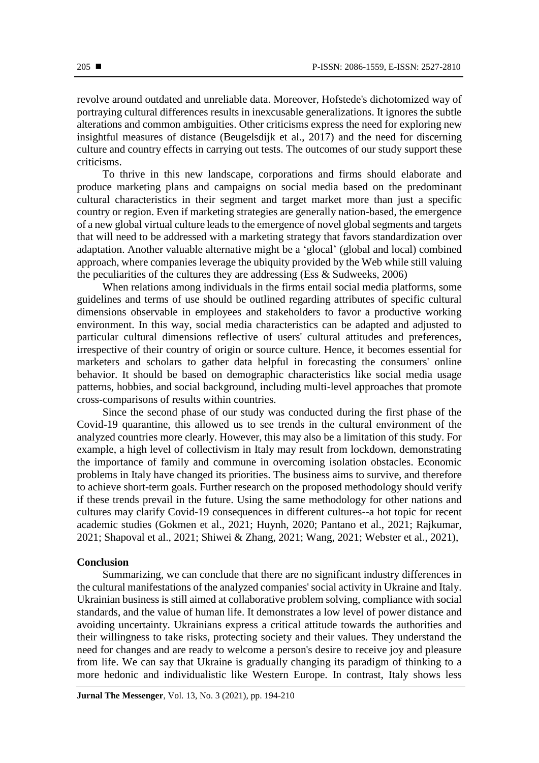revolve around outdated and unreliable data. Moreover, Hofstede's dichotomized way of portraying cultural differences results in inexcusable generalizations. It ignores the subtle alterations and common ambiguities. Other criticisms express the need for exploring new insightful measures of distance (Beugelsdijk et al., 2017) and the need for discerning culture and country effects in carrying out tests. The outcomes of our study support these criticisms.

To thrive in this new landscape, corporations and firms should elaborate and produce marketing plans and campaigns on social media based on the predominant cultural characteristics in their segment and target market more than just a specific country or region. Even if marketing strategies are generally nation-based, the emergence of a new global virtual culture leads to the emergence of novel global segments and targets that will need to be addressed with a marketing strategy that favors standardization over adaptation. Another valuable alternative might be a 'glocal' (global and local) combined approach, where companies leverage the ubiquity provided by the Web while still valuing the peculiarities of the cultures they are addressing (Ess  $\&$  Sudweeks, 2006)

When relations among individuals in the firms entail social media platforms, some guidelines and terms of use should be outlined regarding attributes of specific cultural dimensions observable in employees and stakeholders to favor a productive working environment. In this way, social media characteristics can be adapted and adjusted to particular cultural dimensions reflective of users' cultural attitudes and preferences, irrespective of their country of origin or source culture. Hence, it becomes essential for marketers and scholars to gather data helpful in forecasting the consumers' online behavior. It should be based on demographic characteristics like social media usage patterns, hobbies, and social background, including multi-level approaches that promote cross-comparisons of results within countries.

Since the second phase of our study was conducted during the first phase of the Covid-19 quarantine, this allowed us to see trends in the cultural environment of the analyzed countries more clearly. However, this may also be a limitation of this study. For example, a high level of collectivism in Italy may result from lockdown, demonstrating the importance of family and commune in overcoming isolation obstacles. Economic problems in Italy have changed its priorities. The business aims to survive, and therefore to achieve short-term goals. Further research on the proposed methodology should verify if these trends prevail in the future. Using the same methodology for other nations and cultures may clarify Covid-19 consequences in different cultures--a hot topic for recent academic studies (Gokmen et al., 2021; Huynh, 2020; Pantano et al., 2021; Rajkumar, 2021; Shapoval et al., 2021; Shiwei & Zhang, 2021; Wang, 2021; Webster et al., 2021),

# **Conclusion**

Summarizing, we can conclude that there are no significant industry differences in the cultural manifestations of the analyzed companies' social activity in Ukraine and Italy. Ukrainian business is still aimed at collaborative problem solving, compliance with social standards, and the value of human life. It demonstrates a low level of power distance and avoiding uncertainty. Ukrainians express a critical attitude towards the authorities and their willingness to take risks, protecting society and their values. They understand the need for changes and are ready to welcome a person's desire to receive joy and pleasure from life. We can say that Ukraine is gradually changing its paradigm of thinking to a more hedonic and individualistic like Western Europe. In contrast, Italy shows less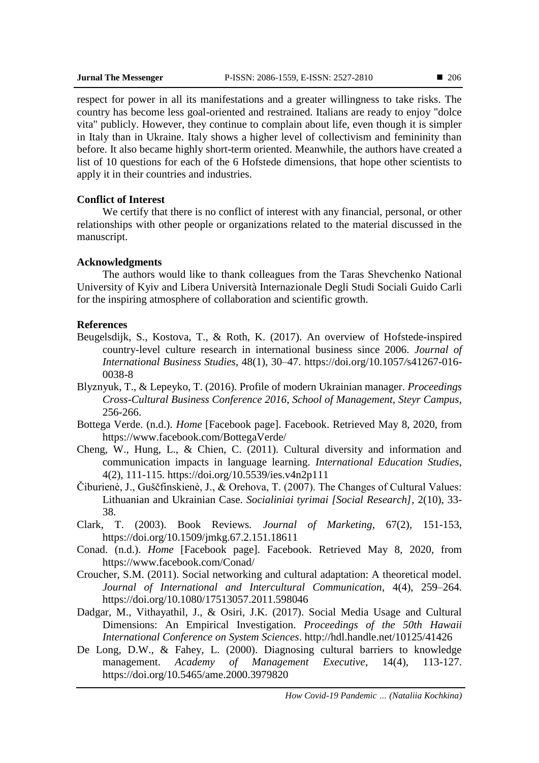respect for power in all its manifestations and a greater willingness to take risks. The country has become less goal-oriented and restrained. Italians are ready to enjoy "dolce vita" publicly. However, they continue to complain about life, even though it is simpler in Italy than in Ukraine. Italy shows a higher level of collectivism and femininity than before. It also became highly short-term oriented. Meanwhile, the authors have created a list of 10 questions for each of the 6 Hofstede dimensions, that hope other scientists to apply it in their countries and industries.

# **Conflict of Interest**

We certify that there is no conflict of interest with any financial, personal, or other relationships with other people or organizations related to the material discussed in the manuscript.

# **Acknowledgments**

The authors would like to thank colleagues from the Taras Shevchenko National University of Kyiv and Libera Università Internazionale Degli Studi Sociali Guido Carli for the inspiring atmosphere of collaboration and scientific growth.

# **References**

- Beugelsdijk, S., Kostova, T., & Roth, K. (2017). An overview of Hofstede-inspired country-level culture research in international business since 2006. *Journal of International Business Studies*, 48(1), 30–47. https://doi*.*[org/10.1057](https://doi.org/10.1057/s41267-016-0038-8)*/*s41267*-*016- [0038-8](https://doi.org/10.1057/s41267-016-0038-8)
- Blyznyuk, T., & Lepeyko, T. (2016). Profile of modern Ukrainian manager. *Proceedings Cross-Cultural Business Conference 2016, School of Management, Steyr Campus*, 256-266.
- Bottega Verde. (n.d.). *Home* [Facebook page]. Facebook. Retrieved May 8, 2020, from <https://www.facebook.com/BottegaVerde/>
- Cheng, W., Hung, L., & Chien, C. (2011). Cultural diversity and information and communication impacts in language learning. *International Education Studies*, 4(2), 111-115.<https://doi.org/10.5539/ies.v4n2p111>
- Čiburienè, J., Guščfinskienè, J., & Orehova, T. (2007). The Changes of Cultural Values: Lithuanian and Ukrainian Case. *Socialiniai tyrimai [Social Research]*, 2(10), 33- 38.
- Clark, T. (2003). Book Reviews*. Journal of Marketing*, 67(2), 151-153, <https://doi.org/10.1509/jmkg.67.2.151.18611>
- Conad. (n.d.). *Home* [Facebook page]. Facebook. Retrieved May 8, 2020, from <https://www.facebook.com/Conad/>
- Croucher, S.M. (2011). Social networking and cultural adaptation: A theoretical model. *Journal of International and Intercultural Communication*, 4(4), 259–264. <https://doi.org/10.1080/17513057.2011.598046>
- Dadgar, M., Vithayathil, J., & Osiri, J.K. (2017). Social Media Usage and Cultural Dimensions: An Empirical Investigation. *Proceedings of the 50th Hawaii International Conference on System Sciences*.<http://hdl.handle.net/10125/41426>
- De Long, D.W., & Fahey, L. (2000). Diagnosing cultural barriers to knowledge management. *Academy of Management Executive*, 14(4), 113-127. <https://doi.org/10.5465/ame.2000.3979820>

*How Covid-19 Pandemic … (Nataliia Kochkina)*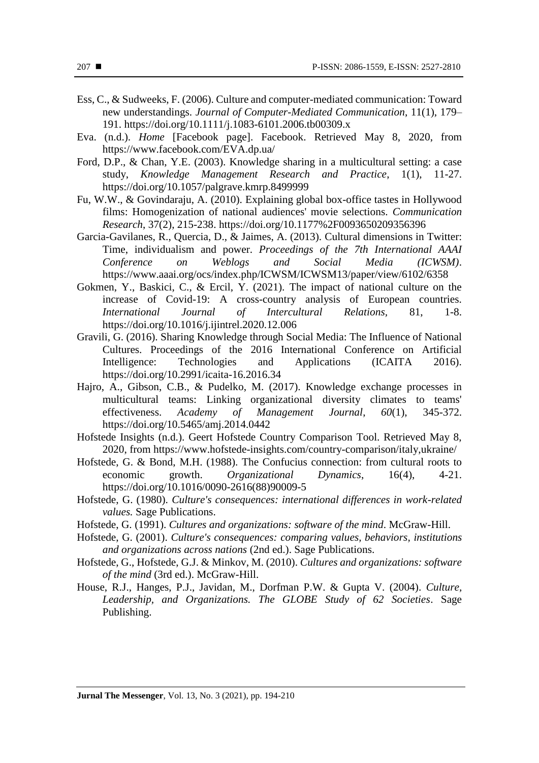- Ess, C., & Sudweeks, F. (2006). Culture and computer-mediated communication: Toward new understandings. *Journal of Computer-Mediated Communication*, 11(1), 179– 191.<https://doi.org/10.1111/j.1083-6101.2006.tb00309.x>
- Eva. (n.d.). *Home* [Facebook page]. Facebook. Retrieved May 8, 2020, from <https://www.facebook.com/EVA.dp.ua/>
- Ford, D.P., & Chan, Y.E. (2003). Knowledge sharing in a multicultural setting: a case study, *Knowledge Management Research and Practice*, 1(1), 11-27. <https://doi.org/10.1057/palgrave.kmrp.8499999>
- Fu, W.W., & Govindaraju, A. (2010). Explaining global box-office tastes in Hollywood films: Homogenization of national audiences' movie selections. *Communication Research*, 37(2), 215-238.<https://doi.org/10.1177%2F0093650209356396>
- Garcia-Gavilanes, R., Quercia, D., & Jaimes, A. (2013). Cultural dimensions in Twitter: Time, individualism and power. *Proceedings of the 7th International AAAI Conference on Weblogs and Social Media (ICWSM)*. <https://www.aaai.org/ocs/index.php/ICWSM/ICWSM13/paper/view/6102/6358>
- Gokmen, Y., Baskici, C., & Ercil, Y. (2021). The impact of national culture on the increase of Covid-19: A cross-country analysis of European countries. *International Journal of Intercultural Relations,* 81, 1-8. <https://doi.org/10.1016/j.ijintrel.2020.12.006>
- Gravili, G. (2016). Sharing Knowledge through Social Media: The Influence of National Cultures. Proceedings of the 2016 International Conference on Artificial Intelligence: Technologies and Applications (ICAITA 2016). <https://doi.org/10.2991/icaita-16.2016.34>
- Hajro, A., Gibson, C.B., & Pudelko, M. (2017). Knowledge exchange processes in multicultural teams: Linking organizational diversity climates to teams' effectiveness. *Academy of Management Journal*, *60*(1), 345-372. <https://doi.org/10.5465/amj.2014.0442>
- Hofstede Insights (n.d.). Geert Hofstede Country Comparison Tool. Retrieved May 8, 2020, from<https://www.hofstede-insights.com/country-comparison/italy,ukraine/>
- Hofstede, G. & Bond, M.H. (1988). The Confucius connection: from cultural roots to economic growth. *Organizational Dynamics*, 16(4), 4-21. [https://doi.org/10.1016/0090-2616\(88\)90009-5](https://doi.org/10.1016/0090-2616(88)90009-5)
- Hofstede, G. (1980). *Culture's consequences: international differences in work-related values.* Sage Publications.
- Hofstede, G. (1991). *Cultures and organizations: software of the mind*. McGraw-Hill.
- Hofstede, G. (2001). *Culture's consequences: comparing values, behaviors, institutions and organizations across nations* (2nd ed.). Sage Publications.
- Hofstede, G., Hofstede, G.J. & Minkov, M. (2010). *Cultures and organizations: software of the mind* (3rd ed.). McGraw-Hill.
- House, R.J., Hanges, P.J., Javidan, M., Dorfman P.W. & Gupta V. (2004). *Culture, Leadership, and Organizations. The GLOBE Study of 62 Societies*. Sage Publishing.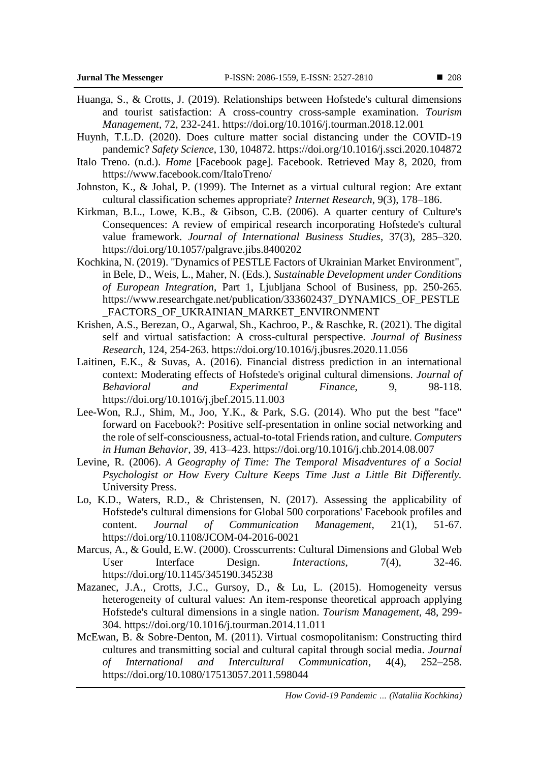- Huanga, S., & Crotts, J. (2019). Relationships between Hofstede's cultural dimensions and tourist satisfaction: A cross-country cross-sample examination. *Tourism Management*, 72, 232-241.<https://doi.org/10.1016/j.tourman.2018.12.001>
- Huynh, T.L.D. (2020). Does culture matter social distancing under the COVID-19 pandemic? *Safety Science*, 130, 104872[. https://doi.org/10.1016/j.ssci.2020.104872](https://doi.org/10.1016/j.ssci.2020.104872)
- Italo Treno. (n.d.). *Home* [Facebook page]. Facebook. Retrieved May 8, 2020, from <https://www.facebook.com/ItaloTreno/>
- Johnston, K., & Johal, P. (1999). The Internet as a virtual cultural region: Are extant cultural classification schemes appropriate? *Internet Research*, 9(3), 178–186.
- Kirkman, B.L., Lowe, K.B., & Gibson, C.B. (2006). A quarter century of Culture's Consequences: A review of empirical research incorporating Hofstede's cultural value framework. *Journal of International Business Studies*, 37(3), 285–320. <https://doi.org/10.1057/palgrave.jibs.8400202>
- Kochkina, N. (2019). "Dynamics of PESTLE Factors of Ukrainian Market Environment", in Bele, D., Weis, L., Maher, N. (Eds.), *Sustainable Development under Conditions of European Integration*, Part 1, Ljubljana School of Business, pp. 250-265. [https://www.researchgate.net/publication/333602437\\_DYNAMICS\\_OF\\_PESTLE](https://www.researchgate.net/publication/333602437_DYNAMICS_OF_PESTLE_FACTORS_OF_UKRAINIAN_MARKET_ENVIRONMENT) [\\_FACTORS\\_OF\\_UKRAINIAN\\_MARKET\\_ENVIRONMENT](https://www.researchgate.net/publication/333602437_DYNAMICS_OF_PESTLE_FACTORS_OF_UKRAINIAN_MARKET_ENVIRONMENT)
- Krishen, A.S., Berezan, O., Agarwal, Sh., Kachroo, P., & Raschke, R. (2021). The digital self and virtual satisfaction: A cross-cultural perspective. *Journal of Business Research*, 124, 254-263.<https://doi.org/10.1016/j.jbusres.2020.11.056>
- Laitinen, E.K., & Suvas, A. (2016). Financial distress prediction in an international context: Moderating effects of Hofstede's original cultural dimensions. *Journal of Behavioral* and *Experimental Finance*, 9, 98-118. <https://doi.org/10.1016/j.jbef.2015.11.003>
- Lee-Won, R.J., Shim, M., Joo, Y.K., & Park, S.G. (2014). Who put the best "face" forward on Facebook?: Positive self-presentation in online social networking and the role of self-consciousness, actual-to-total Friends ration, and culture. *Computers in Human Behavior*, 39, 413–423.<https://doi.org/10.1016/j.chb.2014.08.007>
- Levine, R. (2006). *A Geography of Time: The Temporal Misadventures of a Social Psychologist or How Every Culture Keeps Time Just a Little Bit Differently.*  University Press.
- Lo, K.D., Waters, R.D., & Christensen, N. (2017). Assessing the applicability of Hofstede's cultural dimensions for Global 500 corporations' Facebook profiles and content. *Journal of Communication Management*, 21(1), 51-67. <https://doi.org/10.1108/JCOM-04-2016-0021>
- Marcus, A., & Gould, E.W. (2000). Crosscurrents: Cultural Dimensions and Global Web User Interface Design. *Interactions*, 7(4), 32-46. <https://doi.org/10.1145/345190.345238>
- Mazanec, J.A., Crotts, J.C., Gursoy, D., & Lu, L. (2015). Homogeneity versus heterogeneity of cultural values: An item-response theoretical approach applying Hofstede's cultural dimensions in a single nation. *Tourism Management*, 48, 299- 304.<https://doi.org/10.1016/j.tourman.2014.11.011>
- McEwan, B. & Sobre-Denton, M. (2011). Virtual cosmopolitanism: Constructing third cultures and transmitting social and cultural capital through social media. *Journal of International and Intercultural Communication*, 4(4), 252–258. <https://doi.org/10.1080/17513057.2011.598044>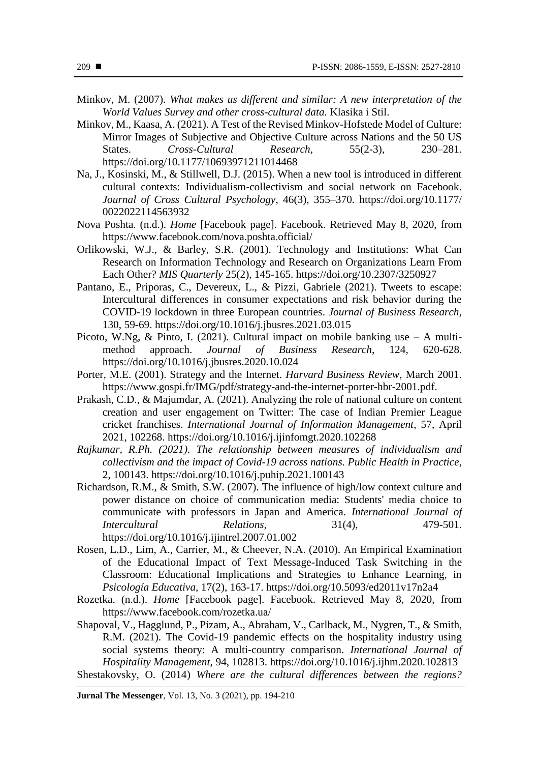- Minkov, M. (2007). *What makes us different and similar: A new interpretation of the World Values Survey and other cross-cultural data.* Klasika i Stil.
- Minkov, M., Kaasa, A. (2021). A Test of the Revised Minkov-Hofstede Model of Culture: Mirror Images of Subjective and Objective Culture across Nations and the 50 US States. *Cross-Cultural Research*, 55(2-3), 230–281. <https://doi.org/10.1177/10693971211014468>
- Na, J., Kosinski, M., & Stillwell, D.J. (2015). When a new tool is introduced in different cultural contexts: Individualism-collectivism and social network on Facebook. *Journal of Cross Cultural Psychology*, 46(3), 355–370. https://doi.org/10.1177/ 0022022114563932
- Nova Poshta. (n.d.). *Home* [Facebook page]. Facebook. Retrieved May 8, 2020, from <https://www.facebook.com/nova.poshta.official/>
- Orlikowski, W.J., & Barley, S.R. (2001). Technology and Institutions: What Can Research on Information Technology and Research on Organizations Learn From Each Other? *MIS Quarterly* 25(2), 145-165.<https://doi.org/10.2307/3250927>
- Pantano, E., Priporas, C., Devereux, L., & Pizzi, Gabriele (2021). Tweets to escape: Intercultural differences in consumer expectations and risk behavior during the COVID-19 lockdown in three European countries. *Journal of Business Research*, 130, 59-69.<https://doi.org/10.1016/j.jbusres.2021.03.015>
- Picoto, W.Ng, & Pinto, I. (2021). Cultural impact on mobile banking use A multimethod approach. *Journal of Business Research*, 124, 620-628. <https://doi.org/10.1016/j.jbusres.2020.10.024>
- Porter, M.E. (2001). Strategy and the Internet. *Harvard Business Review*, March 2001. [https://www.gospi.fr/IMG/pdf/strategy-and-the-internet-porter-hbr-2001.pdf.](https://www.gospi.fr/IMG/pdf/strategy-and-the-internet-porter-hbr-2001.pdf)
- Prakash, C.D., & Majumdar, A. (2021). Analyzing the role of national culture on content creation and user engagement on Twitter: The case of Indian Premier League cricket franchises. *International Journal of Information Management*, 57, April 2021, 102268.<https://doi.org/10.1016/j.ijinfomgt.2020.102268>
- *Rajkumar, R.Ph. (2021). The relationship between measures of individualism and collectivism and the impact of Covid-19 across nations. Public Health in Practice*, 2, 100143.<https://doi.org/10.1016/j.puhip.2021.100143>
- Richardson, R.M., & Smith, S.W. (2007). The influence of high/low context culture and power distance on choice of communication media: Students' media choice to communicate with professors in Japan and America. *International Journal of Intercultural Relations*, 31(4), 479-501. [https://doi.org/10.1016/j.ijintrel.2007.01.002](https://psycnet.apa.org/doi/10.1016/j.ijintrel.2007.01.002)
- Rosen, L.D., Lim, A., Carrier, M., & Cheever, N.A. (2010). An Empirical Examination of the Educational Impact of Text Message-Induced Task Switching in the Classroom: Educational Implications and Strategies to Enhance Learning, in *Psicología Educativa,* 17(2), 163-17.<https://doi.org/10.5093/ed2011v17n2a4>
- Rozetka. (n.d.). *Home* [Facebook page]. Facebook. Retrieved May 8, 2020, from <https://www.facebook.com/rozetka.ua/>
- Shapoval, V., Hagglund, P., Pizam, A., Abraham, V., Carlback, M., Nygren, T., & Smith, R.M. (2021). The Covid-19 pandemic effects on the hospitality industry using social systems theory: A multi-country comparison. *International Journal of Hospitality Management*, 94, 102813.<https://doi.org/10.1016/j.ijhm.2020.102813>

Shestakovsky, O. (2014) *Where are the cultural differences between the regions?*